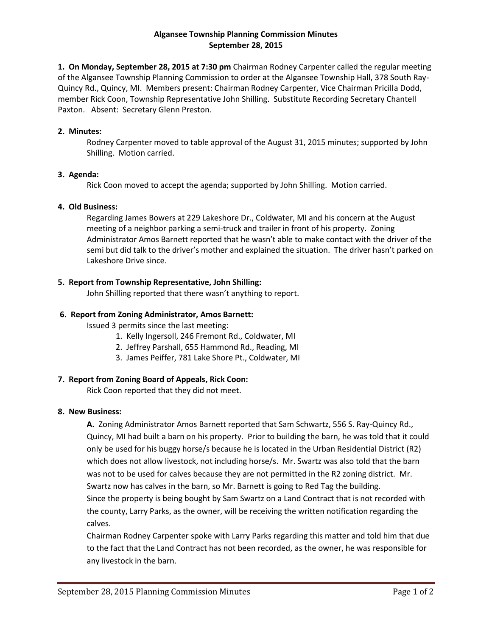### **Algansee Township Planning Commission Minutes September 28, 2015**

**1. On Monday, September 28, 2015 at 7:30 pm** Chairman Rodney Carpenter called the regular meeting of the Algansee Township Planning Commission to order at the Algansee Township Hall, 378 South Ray-Quincy Rd., Quincy, MI. Members present: Chairman Rodney Carpenter, Vice Chairman Pricilla Dodd, member Rick Coon, Township Representative John Shilling. Substitute Recording Secretary Chantell Paxton. Absent: Secretary Glenn Preston.

#### **2. Minutes:**

Rodney Carpenter moved to table approval of the August 31, 2015 minutes; supported by John Shilling. Motion carried.

## **3. Agenda:**

Rick Coon moved to accept the agenda; supported by John Shilling. Motion carried.

## **4. Old Business:**

Regarding James Bowers at 229 Lakeshore Dr., Coldwater, MI and his concern at the August meeting of a neighbor parking a semi-truck and trailer in front of his property. Zoning Administrator Amos Barnett reported that he wasn't able to make contact with the driver of the semi but did talk to the driver's mother and explained the situation. The driver hasn't parked on Lakeshore Drive since.

# **5. Report from Township Representative, John Shilling:**

John Shilling reported that there wasn't anything to report.

## **6. Report from Zoning Administrator, Amos Barnett:**

Issued 3 permits since the last meeting:

- 1. Kelly Ingersoll, 246 Fremont Rd., Coldwater, MI
- 2. Jeffrey Parshall, 655 Hammond Rd., Reading, MI
- 3. James Peiffer, 781 Lake Shore Pt., Coldwater, MI

# **7. Report from Zoning Board of Appeals, Rick Coon:**

Rick Coon reported that they did not meet.

#### **8. New Business:**

**A.** Zoning Administrator Amos Barnett reported that Sam Schwartz, 556 S. Ray-Quincy Rd., Quincy, MI had built a barn on his property. Prior to building the barn, he was told that it could only be used for his buggy horse/s because he is located in the Urban Residential District (R2) which does not allow livestock, not including horse/s. Mr. Swartz was also told that the barn was not to be used for calves because they are not permitted in the R2 zoning district. Mr. Swartz now has calves in the barn, so Mr. Barnett is going to Red Tag the building. Since the property is being bought by Sam Swartz on a Land Contract that is not recorded with

the county, Larry Parks, as the owner, will be receiving the written notification regarding the calves.

Chairman Rodney Carpenter spoke with Larry Parks regarding this matter and told him that due to the fact that the Land Contract has not been recorded, as the owner, he was responsible for any livestock in the barn.